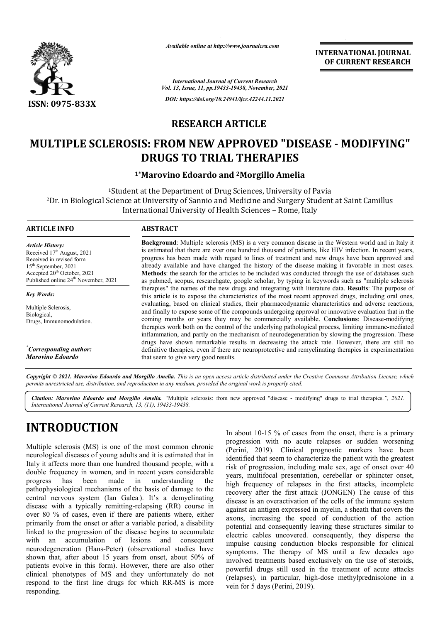

*Available online at http://www.journalcra.com*

**INTERNATIONAL JOURNAL OF CURRENT RESEARCH**

*International Journal of Current Research Vol. 13, Issue, 11, pp.19433-19438, November, 2021 DOI: https://doi.org/10.24941/ijcr.42244.11.2021*

# **RESEARCH ARTICLE**

# **MULTIPLE SCLEROSIS: FROM NEW APPROVED "DISEASE - MODIFYING" DRUGS TO TRIAL THERAPIES**

### **1\*Marovino Edoardo and Marovino 2Morgillo Amelia**

<sup>1</sup>Student at the Department of Drug Sciences, University of Pavia 2Dr. in Biological Science at University of Sannio and Medicine and Surgery Student at Saint Camillus International University of Health Sciences – Rome, Italy

### **ARTICLE INFO ABSTRACT**

*Article History: Article History:* Received 17<sup>th</sup> August, 2021 Received in revised form<br>15<sup>th</sup> September, 2021  $15<sup>th</sup>$  September, 2021 Accepted  $20^{th}$  October, 2021 Published online 24<sup>th</sup> November, 2021

Multiple Sclerosis, Biological, Drugs, Immunomodulation.

*Key Words:*

*\* Corresponding author: Marovino Edoardo*

**Background:** Multiple sclerosis (MS) is a very common disease in the Western world and in Italy it is estimated that there are over one hundred thousand of patients, like HIV infection. In recent years, progress has been made with regard to lines of treatment and new drugs have been approved and already available and have changed the history of the disease making it favorable in most cases. **Methods** : the search for the articles to be included was conducted through the use of databases such as pubmed, scopus, researchgate, google scholar, by typing in keywords such as "multiple sclerosis therapies" the names of the new drugs and integrating with literature data. Results: The purpose of this article is to expose the characteristics of the most recent approved drugs, including oral ones, evaluating, based on clinical studies, their pharmacodynamic characteristics and adverse reactions, and finally to expose some of the compounds undergoing approval or innovative evaluation that in the coming months or years they may be commercially available. C therapies work both on the control of the underlying pathological process, limiting immune-mediated inflammation, and partly on the mechanism of neurodegeneration by slowing the progression. These drugs ha have shown remarkable results in decreasing the attack rate. However, there are still no inflammation, and partly on the mechanism of neurodegeneration by slowing the progression. These drugs have shown remarkable results in decreasing the attack rate. However, there are still no definitive therapies, even if that seem to give very good results. Background: Multiple sclerosis (MS) is a very common disease in the Western world and in Italy it<br>is estimated that there are over one hundred thousand of patients, like HIV infection. In recent years,<br>progress has been ma already available and have changed the history of the disease making it favorable in most cases.<br>Methods: the search for the articles to be included was conducted through the use of databases such<br>as pubmed, scopus, resear evaluating, based on clinical studies, their pharmacodynamic characteristics and adverse reactions, and finally to expose some of the compounds undergoing approval or innovative evaluation that in the coming months or year

Copyright © 2021. Marovino Edoardo and Morgillo Amelia. This is an open access article distributed under the Creative Commons Attribution License, which permits unrestricted use, distribution, and reproduction in any medium, provided the original work is properly cited.

**Citation: Marovino Edoardo and Morgillo Amelia.** "Multiple sclerosis: from new approved "disease - modifying" drugs to trial therapies.", 2021. *International Journal of Current Research, 13, (11), 19433 19433-19438.*

# **INTRODUCTION**

Multiple sclerosis (MS) is one of the most common chronic neurological diseases of young adults and it is estimated that in Italy it affects more than one hundred thousand people, with a double frequency in women, and in recent years considerable progress has been made in understanding pathophysiological mechanisms of the basis of damage to the central nervous system (Ian Galea ). It's a demyelinating disease with a typically remitting-relapsing (RR) course in over 80 % of cases, even if there are patients where, either primarily from the onset or after a variable period, a disability linked to the progression of the disease begins to accumulate with an accumulation of lesions neurodegeneration (Hans-Peter) (observational studies have shown that, after about 15 years from onset, about 50% of patients evolve in this form). However, there are also other clinical phenotypes of MS and they unfortunately do not respond to the first line drugs for which RR-MS is more responding. the and consequent In about 10-15 % of cases from the onset, there is a primary In about 10-15 % of cases from the onset, there is a primary progression with no acute relapses or sudden worsening (Perini, 2019). Clinical prognostic markers have been identified that seem to characterize the patient with the greatest risk of progression, including male sex, age of onset over 40 years, multifocal presentation, cerebellar or sphincter onset, high frequency of relapses in the first attacks, incomplete recovery after the first attack (JONGEN) The cause of this disease is an overactivation of the cells of the immune system against an antigen expressed in myelin, a sheath that covers the axons, increasing the speed of conduction of the action potential and consequently leaving these structures similar to electric cables uncovered. consequently, they disperse the impulse causing conduction blocks responsible for clinical symptoms. The therapy of MS until a few decades ago involved treatments based exclusively on the use of steroids, powerful drugs still used in the treatment of acute attacks (relapses), in particular, highvein for 5 days (Perini, 2019). identified that seem to characterize the patient with the greatest<br>risk of progression, including male sex, age of onset over 40<br>years, multifocal presentation, cerebellar or sphincter onset,<br>high frequency of relapses in tivation of the cells of the immune system<br>xpressed in myelin, a sheath that covers the<br>the speed of conduction of the action potential and consequently leaving these structures similar to electric cables uncovered. consequently, they disperse the impulse causing conduction blocks responsible for clinical symptoms. The therapy of MS until a few d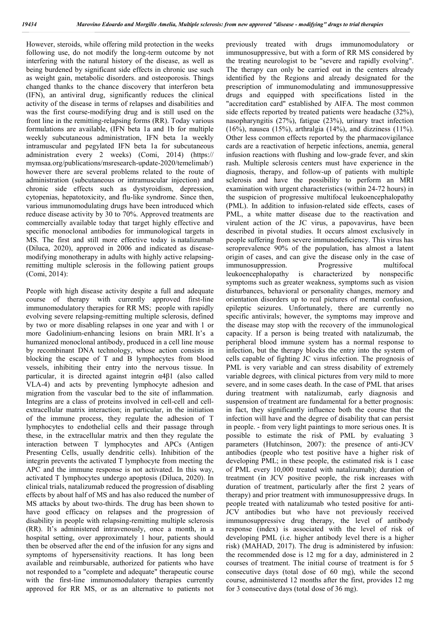However, steroids, while offering mild protection in the weeks following use, do not modify the long-term outcome by not interfering with the natural history of the disease, as well as being burdened by significant side effects in chronic use such as weight gain, metabolic disorders. and osteoporosis. Things changed thanks to the chance discovery that interferon beta (IFN), an antiviral drug, significantly reduces the clinical activity of the disease in terms of relapses and disabilities and was the first course-modifying drug and is still used on the front line in the remitting-relapsing forms (RR). Today various formulations are available, (IFN beta 1a and 1b for multiple weekly subcutaneous administration, IFN beta 1a weekly intramuscular and pegylated IFN beta 1a for subcutaneous administration every 2 weeks) (Comi, 2014) (https:// mymsaa.org/publications/msresearch-update-2020/temelimab/) however there are several problems related to the route of administration (subcutaneous or intramuscular injection) and chronic side effects such as dystyroidism, depression, cytopenias, hepatotoxicity, and flu-like syndrome. Since then, various immunomodulating drugs have been introduced which reduce disease activity by 30 to 70%. Approved treatments are commercially available today that target highly effective and specific monoclonal antibodies for immunological targets in MS. The first and still more effective today is natalizumab (Diluca, 2020), approved in 2006 and indicated as diseasemodifying monotherapy in adults with highly active relapsingremitting multiple sclerosis in the following patient groups (Comi, 2014):

People with high disease activity despite a full and adequate course of therapy with currently approved first-line immunomodulatory therapies for RR MS; people with rapidly evolving severe relapsing-remitting multiple sclerosis, defined by two or more disabling relapses in one year and with 1 or more Gadolinium-enhancing lesions on brain MRI. It's a humanized monoclonal antibody, produced in a cell line mouse by recombinant DNA technology, whose action consists in blocking the escape of T and B lymphocytes from blood vessels, inhibiting their entry into the nervous tissue. In particular, it is directed against integrin α4β1 (also called VLA-4) and acts by preventing lymphocyte adhesion and migration from the vascular bed to the site of inflammation. Integrins are a class of proteins involved in cell-cell and cellextracellular matrix interaction; in particular, in the initiation of the immune process, they regulate the adhesion of T lymphocytes to endothelial cells and their passage through these, in the extracellular matrix and then they regulate the interaction between T lymphocytes and APCs (Antigen Presenting Cells, usually dendritic cells). Inhibition of the integrin prevents the activated T lymphocyte from meeting the APC and the immune response is not activated. In this way, activated T lymphocytes undergo apoptosis (Diluca, 2020). In clinical trials, natalizumab reduced the progression of disabling effects by about half of MS and has also reduced the number of MS attacks by about two-thirds. The drug has been shown to have good efficacy on relapses and the progression of disability in people with relapsing-remitting multiple sclerosis (RR). It's administered intravenously, once a month, in a hospital setting, over approximately 1 hour, patients should then be observed after the end of the infusion for any signs and symptoms of hypersensitivity reactions. It has long been available and reimbursable, authorized for patients who have not responded to a "complete and adequate" therapeutic course with the first-line immunomodulatory therapies currently approved for RR MS, or as an alternative to patients not

previously treated with drugs immunomodulatory or immunosuppressive, but with a form of RR MS considered by the treating neurologist to be "severe and rapidly evolving". The therapy can only be carried out in the centers already identified by the Regions and already designated for the prescription of immunomodulating and immunosuppressive drugs and equipped with specifications listed in the "accreditation card" established by AIFA. The most common side effects reported by treated patients were headache (32%), nasopharyngitis (27%), fatigue (23%), urinary tract infection (16%), nausea (15%), arthralgia (14%), and dizziness (11%). Other less common effects reported by the pharmacovigilance cards are a reactivation of herpetic infections, anemia, general infusion reactions with flushing and low-grade fever, and skin rash. Multiple sclerosis centers must have experience in the diagnosis, therapy, and follow-up of patients with multiple sclerosis and have the possibility to perform an MRI examination with urgent characteristics (within 24-72 hours) in the suspicion of progressive multifocal leukoencephalopathy (PML). In addition to infusion-related side effects, cases of PML, a white matter disease due to the reactivation and virulent action of the JC virus, a papovavirus, have been described in pivotal studies. It occurs almost exclusively in people suffering from severe immunodeficiency. This virus has seroprevalence 90% of the population, has almost a latent origin of cases, and can give the disease only in the case of immunosuppression. Progressive multifocal leukoencephalopathy is characterized by nonspecific symptoms such as greater weakness, symptoms such as vision disturbances, behavioral or personality changes, memory and orientation disorders up to real pictures of mental confusion, epileptic seizures. Unfortunately, there are currently no specific antivirals; however, the symptoms may improve and the disease may stop with the recovery of the immunological capacity. If a person is being treated with natalizumab, the peripheral blood immune system has a normal response to infection, but the therapy blocks the entry into the system of cells capable of fighting JC virus infection. The prognosis of PML is very variable and can stress disability of extremely variable degrees, with clinical pictures from very mild to more severe, and in some cases death. In the case of PML that arises during treatment with natalizumab, early diagnosis and suspension of treatment are fundamental for a better prognosis: in fact, they significantly influence both the course that the infection will have and the degree of disability that can persist in people. - from very light paintings to more serious ones. It is possible to estimate the risk of PML by evaluating 3 parameters (Hutchinson, 2007): the presence of anti-JCV antibodies (people who test positive have a higher risk of developing PML; in these people, the estimated risk is 1 case of PML every 10,000 treated with natalizumab); duration of treatment (in JCV positive people, the risk increases with duration of treatment, particularly after the first 2 years of therapy) and prior treatment with immunosuppressive drugs. In people treated with natalizumab who tested positive for anti-JCV antibodies but who have not previously received immunosuppressive drug therapy, the level of antibody response (index) is associated with the level of risk of developing PML (i.e. higher antibody level there is a higher risk) (MAHAD, 2017). The drug is administered by infusion: the recommended dose is 12 mg for a day, administered in 2 courses of treatment. The initial course of treatment is for 5 consecutive days (total dose of 60 mg), while the second course, administered 12 months after the first, provides 12 mg for 3 consecutive days (total dose of 36 mg).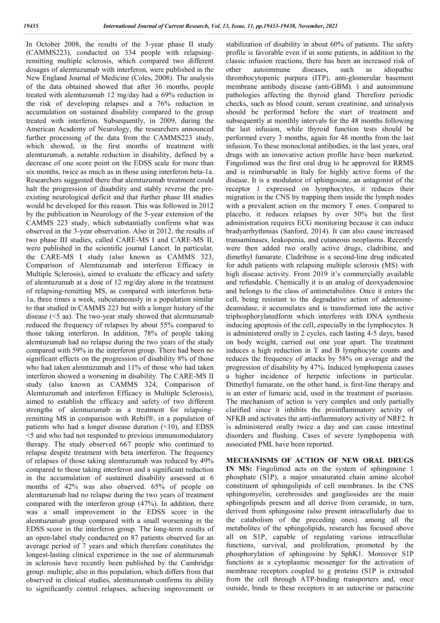In October 2008, the results of the 3-year phase II study (CAMMS223), conducted on 334 people with relapsingremitting multiple sclerosis, which compared two different dosages of alemtuzumab with interferon, were published in the New England Journal of Medicine (Coles, 2008). The analysis of the data obtained showed that after 36 months, people treated with alemtuzumab 12 mg/day had a 69% reduction in the risk of developing relapses and a 76% reduction in accumulation on sustained disability compared to the group treated with interferon. Subsequently, in 2009, during the American Academy of Neurology, the researchers announced further processing of the data from the CAMMS223 study, which showed, in the first months of treatment with alemtuzumab, a notable reduction in disability, defined by a decrease of one score point on the EDSS scale for more than six months, twice as much as in those using interferon beta-1a. Researchers suggested there that alemtuzumab treatment could halt the progression of disability and stably reverse the preexisting neurological deficit and that further phase III studies would be developed for this reason. This was followed in 2012 by the publication in Neurology of the 5-year extension of the CAMMS 223 study, which substantially confirms what was observed in the 3-year observation. Also in 2012, the results of two phase III studies, called CARE-MS I and CARE-MS II, were published in the scientific journal Lancet. In particular, the CARE-MS I study (also known as CAMMS 323, Comparison of Alemtuzumab and interferon Efficacy in Multiple Sclerosis), aimed to evaluate the efficacy and safety of alemtuzumab at a dose of 12 mg/day alone in the treatment of relapsing-remitting MS, as compared with interferon beta-1a, three times a week, subcutaneously in a population similar to that studied in CAMMS 223 but with a longer history of the disease (<5 aa). The two-year study showed that alemtuzumab reduced the frequency of relapses by about 55% compared to those taking interferon. In addition, 78% of people taking alemtuzumab had no relapse during the two years of the study compared with 59% in the interferon group. There had been no significant effects on the progression of disability 8% of those who had taken alemtuzumab and 11% of those who had taken interferon showed a worsening in disability. The CARE-MS II study (also known as CAMMS 324, Comparison of Alemtuzumab and interferon Efficacy in Multiple Sclerosis), aimed to establish the efficacy and safety of two different strengths of alemtuzumab as a treatment for relapsingremitting MS in comparison with Rebif®, in a population of patients who had a longer disease duration  $(\leq 10)$ , and EDSS <5 and who had not responded to previous immunomodulatory therapy. The study observed 667 people who continued to relapse despite treatment with beta interferon. The frequency of relapses of those taking alemtuzumab was reduced by 49% compared to those taking interferon and a significant reduction in the accumulation of sustained disability assessed at 6 months of 42% was also observed. 65% of people on alemtuzumab had no relapse during the two years of treatment compared with the interferon group (47%). In addition, there was a small improvement in the EDSS score in the alemtuzumab group compared with a small worsening in the EDSS score in the interferon group. The long-term results of an open-label study conducted on 87 patients observed for an average period of 7 years and which therefore constitutes the longest-lasting clinical experience in the use of alemtuzumab in sclerosis have recently been published by the Cambridge group. multiple; also in this population, which differs from that observed in clinical studies, alemtuzumab confirms its ability to significantly control relapses, achieving improvement or

stabilization of disability in about 60% of patients. The safety profile is favorable even if in some patients, in addition to the classic infusion reactions, there has been an increased risk of other autoimmune diseases, such as idiopathic thrombocytopenic purpura (ITP), anti-glomerular basement membrane antibody disease (anti-GBM). ) and autoimmune pathologies affecting the thyroid gland. Therefore periodic checks, such as blood count, serum creatinine, and urinalysis should be performed before the start of treatment and subsequently at monthly intervals for the 48 months following the last infusion, while thyroid function tests should be performed every 3 months, again for 48 months from the last infusion. To these monoclonal antibodies, in the last years, oral drugs with an innovative action profile have been marketed. Fingolimod was the first oral drug to be approved for RRMS and is reimbursable in Italy for highly active forms of the disease. It is a modulator of sphingosine, an antagonist of the receptor 1 expressed on lymphocytes, it reduces their migration in the CNS by trapping them inside the lymph nodes with a prevalent action on the memory T ones. Compared to placebo, it reduces relapses by over 50% but the first administration requires ECG monitoring because it can induce bradyarrhythmias (Sanford, 2014). It can also cause increased transaminases, leukopenia, and cutaneous neoplasms. Recently were then added two orally active drugs, cladribine, and dimethyl fumarate. Cladribine is a second-line drug indicated for adult patients with relapsing multiple sclerosis (MS) with high disease activity. From 2019 it's commercially available and refundable. Chemically it is an analog of deoxyadenosine and belongs to the class of antimetabolites. Once it enters the cell, being resistant to the degradative action of adenosinedeamidase, it accumulates and is transformed into the active triphosphorylatedform which interferes with DNA synthesis inducing apoptosis of the cell, especially in the lymphocytes. It is administered orally in 2 cycles, each lasting 4-5 days, based on body weight, carried out one year apart. The treatment induces a high reduction in T and B lymphocyte counts and reduces the frequency of attacks by 58% on average and the progression of disability by 47%. Induced lymphopenia causes a higher incidence of herpetic infections in particular. Dimethyl fumarate, on the other hand, is first-line therapy and is an ester of fumaric acid, used in the treatment of psoriasis. The mechanism of action is very complex and only partially clarified since it inhibits the proinflammatory activity of NFKB and activates the anti-inflammatory activity of NRF2. It is administered orally twice a day and can cause intestinal disorders and flushing. Cases of severe lymphopenia with associated PML have been reported.

**MECHANISMS OF ACTION OF NEW ORAL DRUGS IN MS:** Fingolimod acts on the system of sphingosine 1 phosphate (S1P), a major unsaturated chain amino alcohol constituent of sphingolipids of cell membranes. In the CNS sphingomyelin, cerebrosides and gangliosides are the main sphingolipids present and all derive from ceramide, in turn, derived from sphingosine (also present intracellularly due to the catabolism of the preceding ones). among all the metabolites of the sphingolipids, research has focused above all on S1P, capable of regulating various intracellular functions, survival, and proliferation, promoted by the phosphorylation of sphingosine by SphK1. Moreover S1P functions as a cytoplasmic messenger for the activation of membrane receptors coupled to g proteins (S1P is extruded from the cell through ATP-binding transporters and, once outside, binds to these receptors in an autocrine or paracrine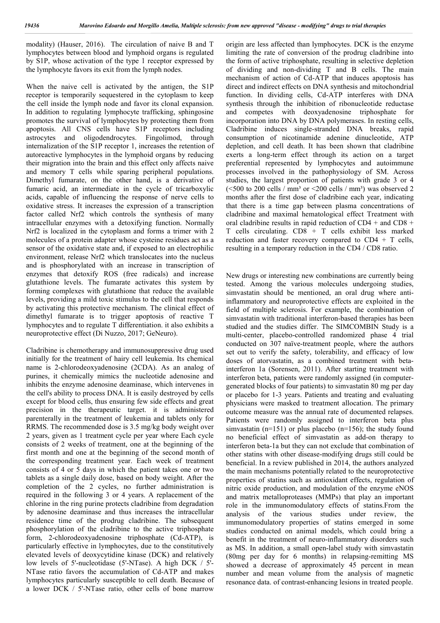modality) (Hauser, 2016). The circulation of naive B and T lymphocytes between blood and lymphoid organs is regulated by S1P, whose activation of the type 1 receptor expressed by the lymphocyte favors its exit from the lymph nodes.

When the naive cell is activated by the antigen, the S1P receptor is temporarily sequestered in the cytoplasm to keep the cell inside the lymph node and favor its clonal expansion. In addition to regulating lymphocyte trafficking, sphingosine promotes the survival of lymphocytes by protecting them from apoptosis. All CNS cells have S1P receptors including astrocytes and oligodendrocytes. Fingolimod, through internalization of the S1P receptor 1, increases the retention of autoreactive lymphocytes in the lymphoid organs by reducing their migration into the brain and this effect only affects naive and memory T cells while sparing peripheral populations. Dimethyl fumarate, on the other hand, is a derivative of fumaric acid, an intermediate in the cycle of tricarboxylic acids, capable of influencing the response of nerve cells to oxidative stress. It increases the expression of a transcription factor called Nrf2 which controls the synthesis of many intracellular enzymes with a detoxifying function. Normally Nrf2 is localized in the cytoplasm and forms a trimer with 2 molecules of a protein adapter whose cysteine residues act as a sensor of the oxidative state and, if exposed to an electrophilic environment, release Nrf2 which translocates into the nucleus and is phosphorylated with an increase in transcription of enzymes that detoxify ROS (free radicals) and increase glutathione levels. The fumarate activates this system by forming complexes with glutathione that reduce the available levels, providing a mild toxic stimulus to the cell that responds by activating this protective mechanism. The clinical effect of dimethyl fumarate is to trigger apoptosis of reactive T lymphocytes and to regulate T differentiation. it also exhibits a neuroprotective effect (Di Nuzzo, 2017; GeNeuro).

Cladribine is chemotherapy and immunosuppressive drug used initially for the treatment of hairy cell leukemia. Its chemical name is 2-chlorodeoxyadenosine (2CDA). As an analog of purines, it chemically mimics the nucleotide adenosine and inhibits the enzyme adenosine deaminase, which intervenes in the cell's ability to process DNA. It is easily destroyed by cells except for blood cells, thus ensuring few side effects and great precision in the therapeutic target. it is administered parenterally in the treatment of leukemia and tablets only for RRMS. The recommended dose is 3.5 mg/kg body weight over 2 years, given as 1 treatment cycle per year where Each cycle consists of 2 weeks of treatment, one at the beginning of the first month and one at the beginning of the second month of the corresponding treatment year. Each week of treatment consists of 4 or 5 days in which the patient takes one or two tablets as a single daily dose, based on body weight. After the completion of the 2 cycles, no further administration is required in the following 3 or 4 years. A replacement of the chlorine in the ring purine protects cladribine from degradation by adenosine deaminase and thus increases the intracellular residence time of the prodrug cladribine. The subsequent phosphorylation of the cladribine to the active triphosphate form, 2-chlorodeoxyadenosine triphosphate (Cd-ATP), is particularly effective in lymphocytes, due to the constitutively elevated levels of deoxycytidine kinase (DCK) and relatively low levels of 5'-nucleotidase (5'-NTase). A high DCK / 5'- NTase ratio favors the accumulation of Cd-ATP and makes lymphocytes particularly susceptible to cell death. Because of a lower DCK / 5'-NTase ratio, other cells of bone marrow

origin are less affected than lymphocytes. DCK is the enzyme limiting the rate of conversion of the prodrug cladribine into the form of active triphosphate, resulting in selective depletion of dividing and non-dividing T and B cells. The main mechanism of action of Cd-ATP that induces apoptosis has direct and indirect effects on DNA synthesis and mitochondrial function. In dividing cells, Cd-ATP interferes with DNA synthesis through the inhibition of ribonucleotide reductase and competes with deoxyadenosine triphosphate for incorporation into DNA by DNA polymerases. In resting cells, Cladribine induces single-stranded DNA breaks, rapid consumption of nicotinamide adenine dinucleotide, ATP depletion, and cell death. It has been shown that cladribine exerts a long-term effect through its action on a target preferential represented by lymphocytes and autoimmune processes involved in the pathophysiology of SM. Across studies, the largest proportion of patients with grade 3 or 4 ( $\leq$ 500 to 200 cells / mm<sup>3</sup> or  $\leq$ 200 cells / mm<sup>3</sup>) was observed 2 months after the first dose of cladribine each year, indicating that there is a time gap between plasma concentrations of cladribine and maximal hematological effect Treatment with oral cladribine results in rapid reduction of CD4 + and CD8 + T cells circulating.  $CDS + T$  cells exhibit less marked reduction and faster recovery compared to CD4 + T cells, resulting in a temporary reduction in the CD4 / CD8 ratio.

New drugs or interesting new combinations are currently being tested. Among the various molecules undergoing studies, simvastatin should be mentioned, an oral drug where antiinflammatory and neuroprotective effects are exploited in the field of multiple sclerosis. For example, the combination of simvastatin with traditional interferon-based therapies has been studied and the studies differ. The SIMCOMBIN Study is a multi-center, placebo-controlled randomized phase 4 trial conducted on 307 naïve-treatment people, where the authors set out to verify the safety, tolerability, and efficacy of low doses of atorvastatin, as a combined treatment with betainterferon 1a (Sorensen, 2011). After starting treatment with interferon beta, patients were randomly assigned (in computergenerated blocks of four patients) to simvastatin 80 mg per day or placebo for 1-3 years. Patients and treating and evaluating physicians were masked to treatment allocation. The primary outcome measure was the annual rate of documented relapses. Patients were randomly assigned to interferon beta plus simvastatin ( $n=151$ ) or plus placebo ( $n=156$ ); the study found no beneficial effect of simvastatin as add-on therapy to interferon beta-1a but they can not exclude that combination of other statins with other disease-modifying drugs still could be beneficial. In a review published in 2014, the authors analyzed the main mechanisms potentially related to the neuroprotective properties of statins such as antioxidant effects, regulation of nitric oxide production, and modulation of the enzyme eNOS and matrix metalloproteases (MMPs) that play an important role in the immunomodulatory effects of statins.From the analysis of the various studies under review, the immunomodulatory properties of statins emerged in some studies conducted on animal models, which could bring a benefit in the treatment of neuro-inflammatory disorders such as MS. In addition, a small open-label study with simvastatin (80mg per day for 6 months) in relapsing-remitting MS showed a decrease of approximately 45 percent in mean number and mean volume from the analysis of magnetic resonance data. of contrast-enhancing lesions in treated people.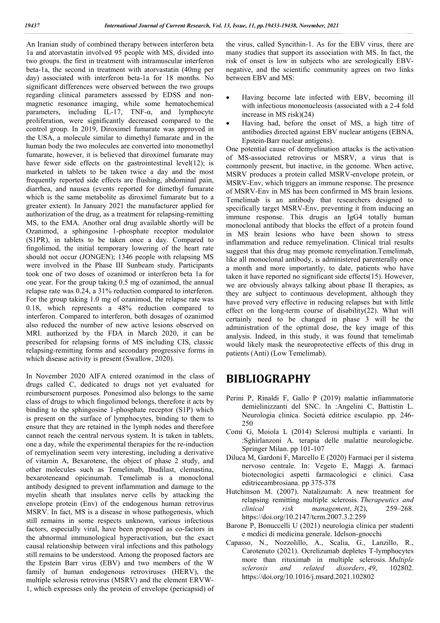An Iranian study of combined therapy between interferon beta 1a and atorvastatin involved 95 people with MS, divided into two groups. the first in treatment with intramuscular interferon beta-1a, the second in treatment with atorvastatin (40mg per day) associated with interferon beta-1a for 18 months. No significant differences were observed between the two groups regarding clinical parameters assessed by EDSS and nonmagnetic resonance imaging, while some hematochemical parameters, including  $\overline{IL-17}$ , TNF- $\alpha$ , and lymphocyte proliferation, were significantly decreased compared to the control group. In 2019, Diroximel fumarate was approved in the USA, a molecule similar to dimethyl fumarate and in the human body the two molecules are converted into monomethyl fumarate, however, it is believed that diroximel fumarate may have fewer side effects on the gastrointestinal level(12); is marketed in tablets to be taken twice a day and the most frequently reported side effects are flushing, abdominal pain, diarrhea, and nausea (events reported for dimethyl fumarate which is the same metabolite as diroximel fumarate but to a greater extent). In January 2021 the manufacturer applied for authorization of the drug, as a treatment for relapsing-remitting MS, to the EMA. Another oral drug available shortly will be Ozanimod, a sphingosine 1-phosphate receptor modulator (S1PR), in tablets to be taken once a day. Compared to fingolimod, the initial temporary lowering of the heart rate should not occur (JONGEN); 1346 people with relapsing MS were involved in the Phase III Sunbeam study. Participants took one of two doses of ozanimod or interferon beta 1a for one year. For the group taking 0.5 mg of ozanimod, the annual relapse rate was 0.24, a 31% reduction compared to interferon. For the group taking 1.0 mg of ozanimod, the relapse rate was 0.18, which represents a 48% reduction compared to interferon. Compared to interferon, both dosages of ozanimod also reduced the number of new active lesions observed on MRI. authorized by the FDA in March 2020, it can be prescribed for relapsing forms of MS including CIS, classic relapsing-remitting forms and secondary progressive forms in which disease activity is present (Swallow, 2020).

In November 2020 AIFA entered ozanimod in the class of drugs called C, dedicated to drugs not yet evaluated for reimbursement purposes. Ponesimod also belongs to the same class of drugs to which fingolimod belongs, therefore it acts by binding to the sphingosine 1-phosphate receptor (S1P) which is present on the surface of lymphocytes, binding to them to ensure that they are retained in the lymph nodes and therefore cannot reach the central nervous system. It is taken in tablets, one a day, while the experimental therapies for the re-induction of remyelination seem very interesting, including a derivative of vitamin A, Bexarotene, the object of phase 2 study, and other molecules such as Temelimab, Ibudilast, clemastina, bexaroteneand opicinumab. Temelimab is a monoclonal antibody designed to prevent inflammation and damage to the myelin sheath that insulates nerve cells by attacking the envelope protein (Env) of the endogenous human retrovirus MSRV. In fact, MS is a disease in whose pathogenesis, which still remains in some respects unknown, various infectious factors, especially viral, have been proposed as co-factors in the abnormal immunological hyperactivation, but the exact causal relationship between viral infections and this pathology still remains to be understood. Among the proposed factors are the Epstein Barr virus (EBV) and two members of the W family of human endogenous retroviruses (HERV), the multiple sclerosis retrovirus (MSRV) and the element ERVW-1, which expresses only the protein of envelope (pericapsid) of the virus, called Syncithin-1. As for the EBV virus, there are many studies that support its association with MS. In fact, the risk of onset is low in subjects who are serologically EBVnegative, and the scientific community agrees on two links between EBV and MS:

- Having become late infected with EBV, becoming ill with infectious mononucleosis (associated with a 2-4 fold increase in MS risk)(24)
- Having had, before the onset of MS, a high titre of antibodies directed against EBV nuclear antigens (EBNA, Epstein-Barr nuclear antigens).

One potential cause of demyelination attacks is the activation of MS-associated retrovirus or MSRV, a virus that is commonly present, but inactive, in the genome. When active, MSRV produces a protein called MSRV-envelope protein, or MSRV-Env, which triggers an immune response. The presence of MSRV-Env in MS has been confirmed in MS brain lesions. Temelimab is an antibody that researchers designed to specifically target MSRV-Env, preventing it from inducing an immune response. This drugis an IgG4 totally human monoclonal antibody that blocks the effect of a protein found in MS brain lesions who have been shown to stress inflammation and reduce remyelination. Clinical trial results suggest that this drug may promote remyelination.Temelimab, like all monoclonal antibody, is administered parenterally once a month and more importantly, to date, patients who have taken it have reported no significant side effects(15). However, we are obviously always talking about phase II therapies, as they are subject to continuous development, although they have proved very effective in reducing relapses but with little effect on the long-term course of disability(22). What will certainly need to be changed in phase 3 will be the administration of the optimal dose, the key image of this analysis. Indeed, in this study, it was found that temelimab would likely mask the neuroprotective effects of this drug in patients (Anti) (Low Temelimab).

## **BIBLIOGRAPHY**

- Perini P, Rinaldi F, Gallo P (2019) malattie infiammatorie demielinizzanti del SNC. In :Angelini C, Battistin L. Neurologia clinica. Società editrice esculapio. pp. 246- 250
- Comi G, Moiola L (2014) Sclerosi multipla e varianti. In :Sghirlanzoni A. terapia delle malattie neurologiche. Springer Milan. pp 101-107
- Diluca M, Gardoni F, Marcello E (2020) Farmaci per il sistema nervoso centrale. In: Vegeto E, Maggi A. farmaci biotecnologici aspetti farmacologici e clinici. Casa editriceambrosiana. pp 375-378
- Hutchinson M. (2007). Natalizumab: A new treatment for relapsing remitting multiple sclerosis. *Therapeutics and clinical risk management*, *3*(2), 259–268. https://doi.org/10.2147/tcrm.2007.3.2.259
- Barone P, Bonuccelli U (2021) neurologia clinica per studenti e medici di medicina generale. Idelson-gnocchi
- Capasso, N., Nozzolillo, A., Scalia, G., Lanzillo, R., Carotenuto (2021). Ocrelizumab depletes T-lymphocytes more than rituximab in multiple sclerosis. *Multiple sclerosis and related disorders*, *49*, 102802. https://doi.org/10.1016/j.msard.2021.102802